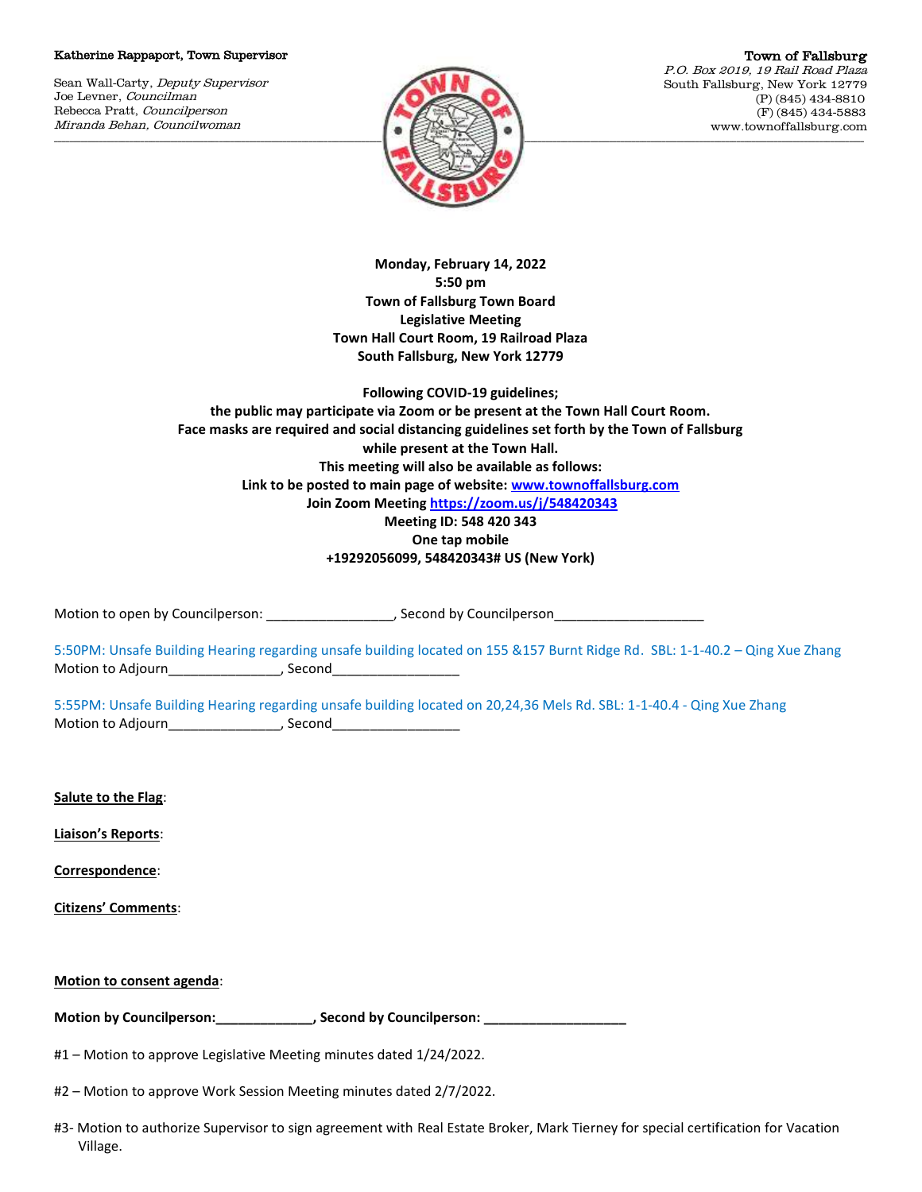## Katherine Rappaport, Town Supervisor

Sean Wall-Carty, Deputy Supervisor Joe Levner, Councilman Rebecca Pratt, Councilperson Miranda Behan, Councilwoman



Town of Fallsburg P.O. Box 2019, 19 Rail Road Plaza South Fallsburg, New York 12779 (P) (845) 434-8810 (F) (845) 434-5883 www.townoffallsburg.com

**Monday, February 14, 2022 5:50 pm Town of Fallsburg Town Board Legislative Meeting Town Hall Court Room, 19 Railroad Plaza South Fallsburg, New York 12779** 

**Following COVID-19 guidelines; the public may participate via Zoom or be present at the Town Hall Court Room. Face masks are required and social distancing guidelines set forth by the Town of Fallsburg while present at the Town Hall. This meeting will also be available as follows: Link to be posted to main page of website[: www.townoffallsburg.com](http://www.townoffallsburg.com/) Join Zoom Meetin[g https://zoom.us/j/548420343](https://zoom.us/j/548420343) Meeting ID: 548 420 343 One tap mobile** 

**+19292056099, 548420343# US (New York)**

Motion to open by Councilperson: \_\_\_\_\_\_\_\_\_\_\_\_\_\_\_\_\_\_\_, Second by Councilperson

5:50PM: Unsafe Building Hearing regarding unsafe building located on 155 &157 Burnt Ridge Rd. SBL: 1-1-40.2 – Qing Xue Zhang Motion to Adjourn\_\_\_\_\_\_\_\_\_\_\_\_\_\_\_\_\_\_\_, Second\_\_\_

5:55PM: Unsafe Building Hearing regarding unsafe building located on 20,24,36 Mels Rd. SBL: 1-1-40.4 - Qing Xue Zhang Motion to Adjourn\_\_\_\_\_\_\_\_\_\_\_\_\_\_\_\_\_\_\_\_, Second\_\_\_

**Salute to the Flag**:

**Liaison's Reports**:

**Correspondence**:

**Citizens' Comments**:

| Motion to consent agenda: |  |
|---------------------------|--|
|---------------------------|--|

Motion by Councilperson: \_\_\_\_\_\_\_\_\_\_\_\_\_\_\_, Second by Councilperson: \_\_

#1 – Motion to approve Legislative Meeting minutes dated 1/24/2022.

#2 – Motion to approve Work Session Meeting minutes dated 2/7/2022.

#3- Motion to authorize Supervisor to sign agreement with Real Estate Broker, Mark Tierney for special certification for Vacation Village.